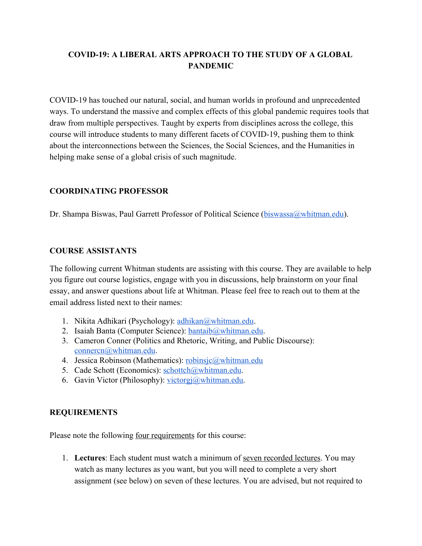# **COVID-19: A LIBERAL ARTS APPROACH TO THE STUDY OF A GLOBAL PANDEMIC**

COVID-19 has touched our natural, social, and human worlds in profound and unprecedented ways. To understand the massive and complex effects of this global pandemic requires tools that draw from multiple perspectives. Taught by experts from disciplines across the college, this course will introduce students to many different facets of COVID-19, pushing them to think about the interconnections between the Sciences, the Social Sciences, and the Humanities in helping make sense of a global crisis of such magnitude.

### **COORDINATING PROFESSOR**

Dr. Shampa Biswas, Paul Garrett Professor of Political Science ([biswassa@whitman.edu\)](mailto:biswassa@whitman.edu).

#### **COURSE ASSISTANTS**

The following current Whitman students are assisting with this course. They are available to help you figure out course logistics, engage with you in discussions, help brainstorm on your final essay, and answer questions about life at Whitman. Please feel free to reach out to them at the email address listed next to their names:

- 1. Nikita Adhikari (Psychology): [adhikan@whitman.edu](mailto:adhikan@whitman.edu).
- 2. Isaiah Banta (Computer Science):  $b$ antai $b$ ( $a$ )whitman.edu.
- 3. Cameron Conner (Politics and Rhetoric, Writing, and Public Discourse): [connercn@whitman.edu](mailto:connercn@whitman.edu).
- 4. Jessica Robinson (Mathematics): [robinsjc@whitman.edu](mailto:robinsjc@whitman.edu)
- 5. Cade Schott (Economics): [schottch@whitman.edu](mailto:schottch@whitman.edu).
- 6. Gavin Victor (Philosophy): [victorgj@whitman.edu](mailto:victorgj@whitman.edu).

#### **REQUIREMENTS**

Please note the following <u>four requirements</u> for this course:

1. **Lectures**: Each student must watch a minimum of seven recorded lectures. You may watch as many lectures as you want, but you will need to complete a very short assignment (see below) on seven of these lectures. You are advised, but not required to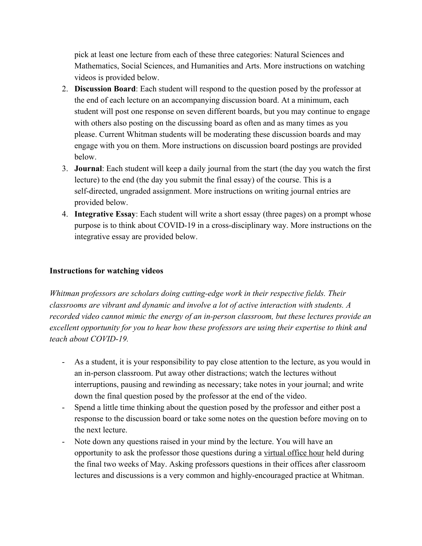pick at least one lecture from each of these three categories: Natural Sciences and Mathematics, Social Sciences, and Humanities and Arts. More instructions on watching videos is provided below.

- 2. **Discussion Board**: Each student will respond to the question posed by the professor at the end of each lecture on an accompanying discussion board. At a minimum, each student will post one response on seven different boards, but you may continue to engage with others also posting on the discussing board as often and as many times as you please. Current Whitman students will be moderating these discussion boards and may engage with you on them. More instructions on discussion board postings are provided below.
- 3. **Journal**: Each student will keep a daily journal from the start (the day you watch the first lecture) to the end (the day you submit the final essay) of the course. This is a self-directed, ungraded assignment. More instructions on writing journal entries are provided below.
- 4. **Integrative Essay**: Each student will write a short essay (three pages) on a prompt whose purpose is to think about COVID-19 in a cross-disciplinary way. More instructions on the integrative essay are provided below.

### **Instructions for watching videos**

*Whitman professors are scholars doing cutting-edge work in their respective fields. Their classrooms are vibrant and dynamic and involve a lot of active interaction with students. A recorded video cannot mimic the energy of an in-person classroom, but these lectures provide an excellent opportunity for you to hear how these professors are using their expertise to think and teach about COVID-19.*

- As a student, it is your responsibility to pay close attention to the lecture, as you would in an in-person classroom. Put away other distractions; watch the lectures without interruptions, pausing and rewinding as necessary; take notes in your journal; and write down the final question posed by the professor at the end of the video.
- Spend a little time thinking about the question posed by the professor and either post a response to the discussion board or take some notes on the question before moving on to the next lecture.
- Note down any questions raised in your mind by the lecture. You will have an opportunity to ask the professor those questions during a virtual office hour held during the final two weeks of May. Asking professors questions in their offices after classroom lectures and discussions is a very common and highly-encouraged practice at Whitman.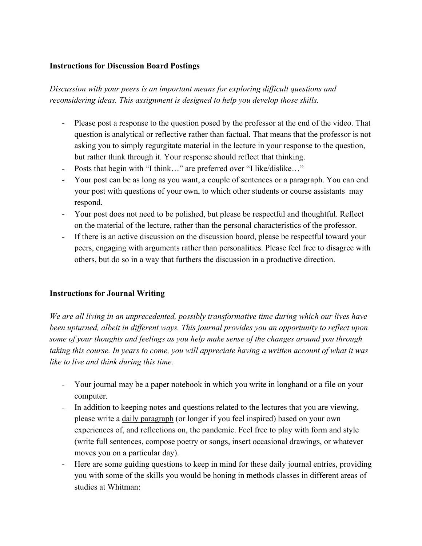#### **Instructions for Discussion Board Postings**

*Discussion with your peers is an important means for exploring difficult questions and reconsidering ideas. This assignment is designed to help you develop those skills.*

- Please post a response to the question posed by the professor at the end of the video. That question is analytical or reflective rather than factual. That means that the professor is not asking you to simply regurgitate material in the lecture in your response to the question, but rather think through it. Your response should reflect that thinking.
- Posts that begin with "I think…" are preferred over "I like/dislike…"
- Your post can be as long as you want, a couple of sentences or a paragraph. You can end your post with questions of your own, to which other students or course assistants may respond.
- Your post does not need to be polished, but please be respectful and thoughtful. Reflect on the material of the lecture, rather than the personal characteristics of the professor.
- If there is an active discussion on the discussion board, please be respectful toward your peers, engaging with arguments rather than personalities. Please feel free to disagree with others, but do so in a way that furthers the discussion in a productive direction.

# **Instructions for Journal Writing**

*We are all living in an unprecedented, possibly transformative time during which our lives have been upturned, albeit in different ways. This journal provides you an opportunity to reflect upon some of your thoughts and feelings as you help make sense of the changes around you through taking this course. In years to come, you will appreciate having a written account of what it was like to live and think during this time.*

- Your journal may be a paper notebook in which you write in longhand or a file on your computer.
- In addition to keeping notes and questions related to the lectures that you are viewing, please write a daily paragraph (or longer if you feel inspired) based on your own experiences of, and reflections on, the pandemic. Feel free to play with form and style (write full sentences, compose poetry or songs, insert occasional drawings, or whatever moves you on a particular day).
- Here are some guiding questions to keep in mind for these daily journal entries, providing you with some of the skills you would be honing in methods classes in different areas of studies at Whitman: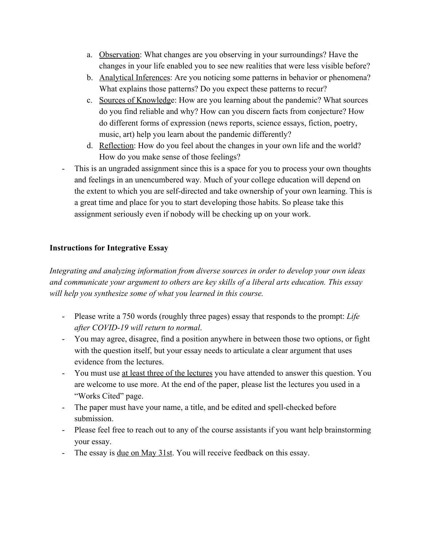- a. Observation: What changes are you observing in your surroundings? Have the changes in your life enabled you to see new realities that were less visible before?
- b. Analytical Inferences: Are you noticing some patterns in behavior or phenomena? What explains those patterns? Do you expect these patterns to recur?
- c. Sources of Knowledge: How are you learning about the pandemic? What sources do you find reliable and why? How can you discern facts from conjecture? How do different forms of expression (news reports, science essays, fiction, poetry, music, art) help you learn about the pandemic differently?
- d. Reflection: How do you feel about the changes in your own life and the world? How do you make sense of those feelings?
- This is an ungraded assignment since this is a space for you to process your own thoughts and feelings in an unencumbered way. Much of your college education will depend on the extent to which you are self-directed and take ownership of your own learning. This is a great time and place for you to start developing those habits. So please take this assignment seriously even if nobody will be checking up on your work.

### **Instructions for Integrative Essay**

*Integrating and analyzing information from diverse sources in order to develop your own ideas and communicate your argument to others are key skills of a liberal arts education. This essay will help you synthesize some of what you learned in this course.*

- Please write a 750 words (roughly three pages) essay that responds to the prompt: *Life after COVID-19 will return to normal*.
- You may agree, disagree, find a position anywhere in between those two options, or fight with the question itself, but your essay needs to articulate a clear argument that uses evidence from the lectures.
- You must use at least three of the lectures you have attended to answer this question. You are welcome to use more. At the end of the paper, please list the lectures you used in a "Works Cited" page.
- The paper must have your name, a title, and be edited and spell-checked before submission.
- Please feel free to reach out to any of the course assistants if you want help brainstorming your essay.
- The essay is <u>due on May 31st</u>. You will receive feedback on this essay.